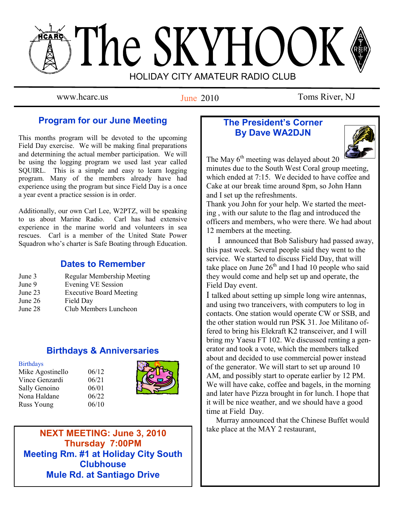# The SKYHOOK HOLIDAY CITY AMATEUR RADIO CLUB

June 2010

www.hcarc.us Iune 2010 Toms River, NJ

# **Program for our June Meeting**

This months program will be devoted to the upcoming Field Day exercise. We will be making final preparations and determining the actual member participation. We will be using the logging program we used last year called SQUIRL. This is a simple and easy to learn logging program. Many of the members already have had experience using the program but since Field Day is a once a year event a practice session is in order.

Additionally, our own Carl Lee, W2PTZ, will be speaking to us about Marine Radio. Carl has had extensive experience in the marine world and volunteers in sea rescues. Carl is a member of the United State Power Squadron who's charter is Safe Boating through Education.

# **Dates to Remember**

| June 3  | <b>Regular Membership Meeting</b> |
|---------|-----------------------------------|
| June 9  | <b>Evening VE Session</b>         |
| June 23 | <b>Executive Board Meeting</b>    |
| June 26 | Field Day                         |
| June 28 | Club Members Luncheon             |
|         |                                   |

# **Birthdays & Anniversaries**

**Birthdays** 

Mike Agostinello 06/12 Vince Genzardi 06/21 Sally Genoino 06/01 Nona Haldane 06/22 Russ Young 06/10



**NEXT MEETING: June 3, 2010 Thursday 7:00PM Meeting Rm. #1 at Holiday City South Clubhouse Mule Rd. at Santiago Drive**

# **The President's Corner By Dave WA2DJN**



The May  $6<sup>th</sup>$  meeting was delayed about 20 minutes due to the South West Coral group meeting,

which ended at 7:15. We decided to have coffee and Cake at our break time around 8pm, so John Hann and I set up the refreshments.

Thank you John for your help. We started the meeting , with our salute to the flag and introduced the officers and members, who were there. We had about 12 members at the meeting.

 I announced that Bob Salisbury had passed away, this past week. Several people said they went to the service. We started to discuss Field Day, that will take place on June  $26<sup>th</sup>$  and I had 10 people who said they would come and help set up and operate, the Field Day event.

I talked about setting up simple long wire antennas, and using two tranceivers, with computers to log in contacts. One station would operate CW or SSB, and the other station would run PSK 31. Joe Militano offered to bring his Elekraft K2 transceiver, and I will bring my Yaesu FT 102. We discussed renting a generator and took a vote, which the members talked about and decided to use commercial power instead of the generator. We will start to set up around 10 AM, and possibly start to operate earlier by 12 PM. We will have cake, coffee and bagels, in the morning and later have Pizza brought in for lunch. I hope that it will be nice weather, and we should have a good time at Field Day.

 Murray announced that the Chinese Buffet would take place at the MAY 2 restaurant,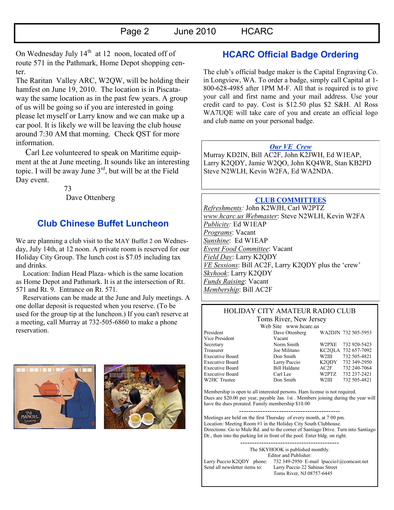On Wednesday July  $14<sup>th</sup>$  at 12 noon, located off of route 571 in the Pathmark, Home Depot shopping center.

The Raritan Valley ARC, W2QW, will be holding their hamfest on June 19, 2010. The location is in Piscataway the same location as in the past few years. A group of us will be going so if you are interested in going please let myself or Larry know and we can make up a car pool. It is likely we will be leaving the club house around 7:30 AM that morning. Check QST for more information.

 Carl Lee volunteered to speak on Maritime equipment at the at June meeting. It sounds like an interesting topic. I will be away June  $3<sup>rd</sup>$ , but will be at the Field Day event.

73

Dave Ottenberg

# **Club Chinese Buffet Luncheon**

We are planning a club visit to the MAY Buffet 2 on Wednesday, July 14th, at 12 noon. A private room is reserved for our Holiday City Group. The lunch cost is \$7.05 including tax and drinks.

 Location: Indian Head Plaza- which is the same location as Home Depot and Pathmark. It is at the intersection of Rt. 571 and Rt. 9. Entrance on Rt. 571.

 Reservations can be made at the June and July meetings. A one dollar deposit is requested when you reserve. (To be used for the group tip at the luncheon.) If you can't reserve at a meeting, call Murray at 732-505-6860 to make a phone reservation.





## **HCARC Official Badge Ordering**

The club's official badge maker is the Capital Engraving Co. in Longview, WA. To order a badge, simply call Capital at 1- 800-628-4985 after 1PM M-F. All that is required is to give your call and first name and your mail address. Use your credit card to pay. Cost is \$12.50 plus \$2 S&H. Al Ross WA7UQE will take care of you and create an official logo and club name on your personal badge.

#### *Our VE Crew*

Murray KD2IN, Bill AC2F, John K2JWH, Ed W1EAP, Larry K2QDY, Jamie W2QO, John KQ4WR, Stan KB2PD Steve N2WLH, Kevin W2FA, Ed WA2NDA.

#### **CLUB COMMITTEES**

*Refreshments:* John K2WJH, Carl W2PTZ *www.hcarc.us Webmaster*: Steve N2WLH, Kevin W2FA *Publicity:* Ed W1EAP *Programs*: Vacant *Sunshine*: Ed W1EAP *Event Food Committee*: Vacant *Field Day*: Larry K2QDY *VE Sessions*: Bill AC2F, Larry K2QDY plus the 'crew' *Skyhook*: Larry K2QDY *Funds Raising*: Vacant *Membership*: Bill AC2F

#### HOLIDAY CITY AMATEUR RADIO CLUB Toms River, New Jersey

Vice President Vacant

Web Site www.hcarc.us<br>Dave Ottenberg President Dave Ottenberg WA2DJN 732 505-5953

Secretary Norm Smith W2PXE 732 920-5423 Treasurer Joe Militano KC2QLA 732 657-7092 Executive Board Don Smith W2III 732 505-4821 Executive Board Larry Puccio K2QDY 732 349-2950 Executive Board Bill Haldane AC2F 732 240-7064 Executive Board<br>
Watcher Carl Lee Walley 232 237-2421<br>
Watcher Contract Don Smith Walley 732 505-4821 Don Smith W2III 732 505-4821

Membership is open to all interested persons. Ham license is not required. Dues are \$20.00 per year, payable Jan. 1st . Members joining during the year will have the dues prorated. Family membership \$10.00

------------------------------------------- Meetings are held on the first Thursday of every month, at 7:00 pm. Location: Meeting Room #1 in the Holiday City South Clubhouse. Directions: Go to Mule Rd. and to the corner of Santiago Drive. Turn into Santiago Dr., then into the parking lot in front of the pool. Enter bldg. on right.

> ------------------------------------------ The SKYHOOK is published monthly.

Editor and Publisher: Larry Puccio K2QDY phone: 732 349-2950 E-mail lpuccio1@comcast.net<br>Send all newsletter items to: Larry Puccio 22 Sabinas Street Larry Puccio 22 Sabinas Street Toms River, NJ 08757-6445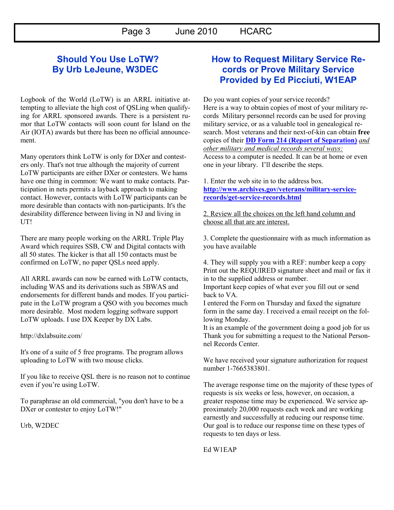# **Should You Use LoTW? By Urb LeJeune, W3DEC**

Logbook of the World (LoTW) is an ARRL initiative attempting to alleviate the high cost of QSLing when qualifying for ARRL sponsored awards. There is a persistent rumor that LoTW contacts will soon count for Island on the Air (IOTA) awards but there has been no official announcement.

Many operators think LoTW is only for DXer and contesters only. That's not true although the majority of current LoTW participants are either DXer or contesters. We hams have one thing in common: We want to make contacts. Participation in nets permits a layback approach to making contact. However, contacts with LoTW participants can be more desirable than contacts with non-participants. It's the desirability difference between living in NJ and living in UT!

There are many people working on the ARRL Triple Play Award which requires SSB, CW and Digital contacts with all 50 states. The kicker is that all 150 contacts must be confirmed on LoTW, no paper QSLs need apply.

All ARRL awards can now be earned with LoTW contacts, including WAS and its derivations such as 5BWAS and endorsements for different bands and modes. If you participate in the LoTW program a QSO with you becomes much more desirable. Most modern logging software support LoTW uploads. I use DX Keeper by DX Labs.

http://dxlabsuite.com/

It's one of a suite of 5 free programs. The program allows uploading to LoTW with two mouse clicks.

If you like to receive QSL there is no reason not to continue even if you're using LoTW.

To paraphrase an old commercial, "you don't have to be a DXer or contester to enjoy LoTW!"

Urb, W2DEC

# **How to Request Military Service Records or Prove Military Service Provided by Ed Picciuti, W1EAP**

Do you want copies of your service records? Here is a way to obtain copies of most of your military records Military personnel records can be used for proving military service, or as a valuable tool in genealogical research. Most veterans and their next-of-kin can obtain **free** copies of their **[DD Form 214 \(Report of Separation\)](http://www.archives.gov/veterans/military-service-records/dd-214.html)** *and other military and medical records several ways:* Access to a computer is needed. It can be at home or even one in your library. I'll describe the steps.

1. Enter the web site in to the address box. **[http://www.archives.gov/veterans/military-service](http://www.archives.gov/veterans/military-service-records/get-service-records.html)[records/get-service-records.html](http://www.archives.gov/veterans/military-service-records/get-service-records.html)**

2. Review all the choices on the left hand column and choose all that are are interest.

3. Complete the questionnaire with as much information as you have available

4. They will supply you with a REF: number keep a copy Print out the REQUIRED signature sheet and mail or fax it in to the supplied address or number.

Important keep copies of what ever you fill out or send back to VA.

I entered the Form on Thursday and faxed the signature form in the same day. I received a email receipt on the following Monday.

It is an example of the government doing a good job for us Thank you for submitting a request to the National Personnel Records Center.

We have received your signature authorization for request number 1-7665383801.

The average response time on the majority of these types of requests is six weeks or less, however, on occasion, a greater response time may be experienced. We service approximately 20,000 requests each week and are working earnestly and successfully at reducing our response time. Our goal is to reduce our response time on these types of requests to ten days or less.

Ed W1EAP